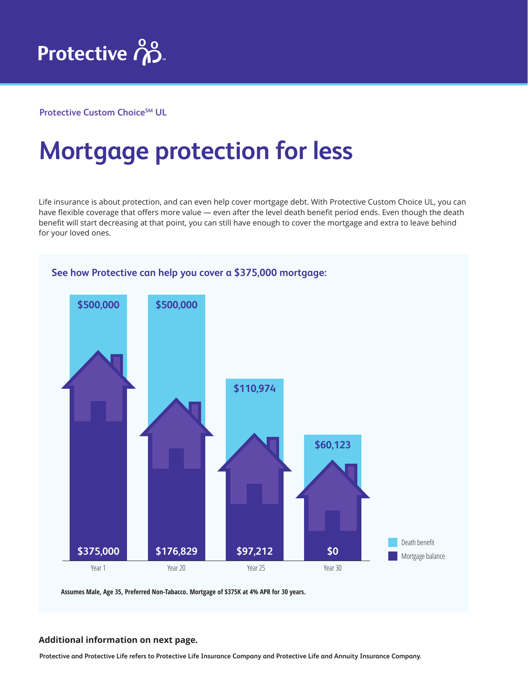

**Protective Custom Choice<sup>SM</sup> UL** 

## **Mortgage protection for less**

Life insurance is about protection, and can even help cover mortgage debt. With Protective Custom Choice UL, you can have flexible coverage that offers more value — even after the level death benefit period ends. Even though the death benefit will start decreasing at that point, you can still have enough to cover the mortgage and extra to leave behind for your loved ones.



**Additional information on next page.**

**Protective and Protective Life refers to Protective Life Insurance Company and Protective Life and Annuity Insurance Company.**